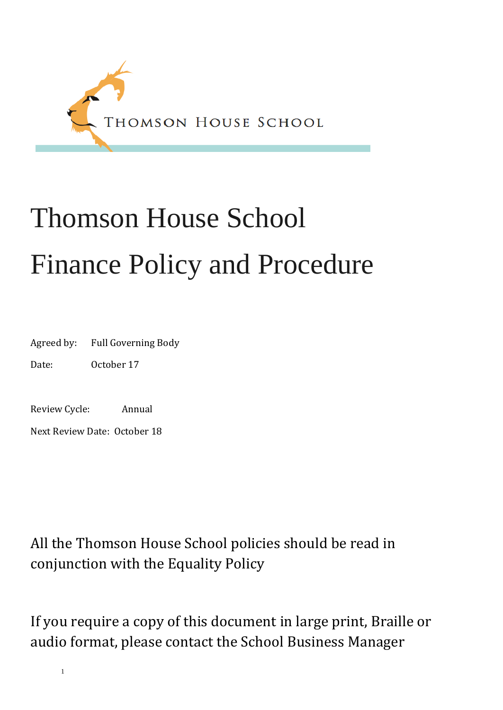<span id="page-0-0"></span>

# Thomson House School Finance Policy and Procedure

Agreed by: Full Governing Body

Date: October 17

Review Cycle: Annual

Next Review Date: October 18

All the Thomson House School policies should be read in conjunction with the Equality Policy

If you require a copy of this document in large print, Braille or audio format, please contact the School Business Manager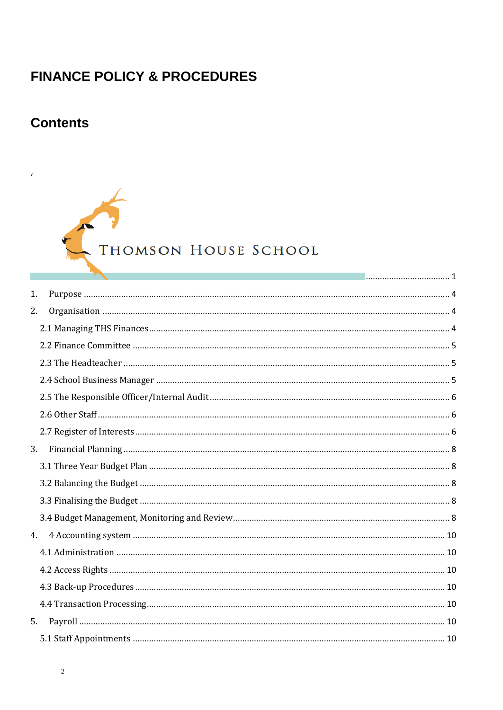# **FINANCE POLICY & PROCEDURES**

# **Contents**

# THOMSON HOUSE SCHOOL

|    | <u> 1986 - Januar Stein, Amerikan personal (</u> |  |
|----|--------------------------------------------------|--|
| 1. |                                                  |  |
| 2. |                                                  |  |
|    |                                                  |  |
|    |                                                  |  |
|    |                                                  |  |
|    |                                                  |  |
|    |                                                  |  |
|    |                                                  |  |
|    |                                                  |  |
| 3. |                                                  |  |
|    |                                                  |  |
|    |                                                  |  |
|    |                                                  |  |
|    |                                                  |  |
| 4. |                                                  |  |
|    |                                                  |  |
|    |                                                  |  |
|    |                                                  |  |
|    |                                                  |  |
| 5. |                                                  |  |
|    |                                                  |  |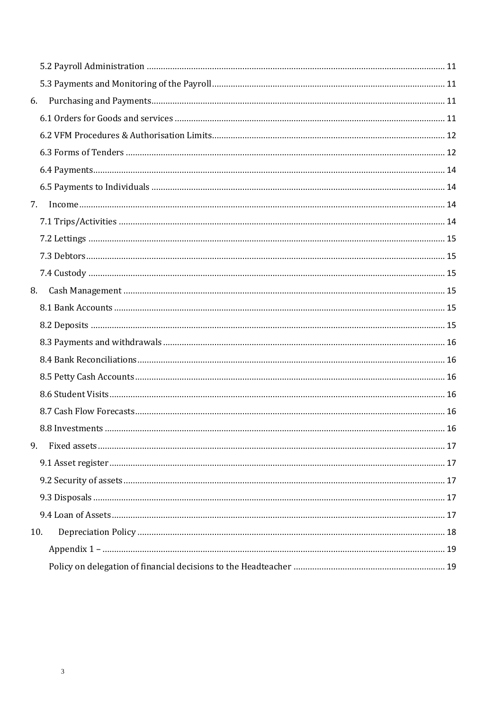| 6.  |  |
|-----|--|
|     |  |
|     |  |
|     |  |
|     |  |
|     |  |
| 7.  |  |
|     |  |
|     |  |
|     |  |
|     |  |
| 8.  |  |
|     |  |
|     |  |
|     |  |
|     |  |
|     |  |
|     |  |
|     |  |
|     |  |
| 9.  |  |
|     |  |
|     |  |
|     |  |
|     |  |
| 10. |  |
|     |  |
|     |  |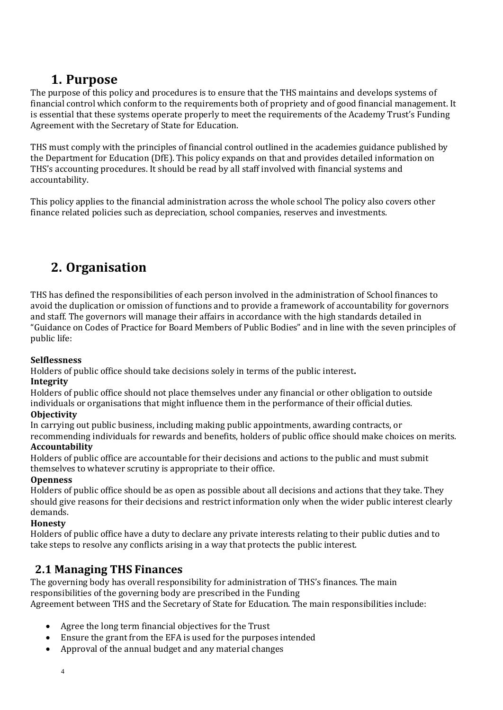## **1. Purpose**

<span id="page-3-0"></span>The purpose of this policy and procedures is to ensure that the THS maintains and develops systems of financial control which conform to the requirements both of propriety and of good financial management. It is essential that these systems operate properly to meet the requirements of the Academy Trust's Funding Agreement with the Secretary of State for Education.

THS must comply with the principles of financial control outlined in the academies guidance published by the Department for Education (DfE). This policy expands on that and provides detailed information on THS's accounting procedures. It should be read by all staff involved with financial systems and accountability.

This policy applies to the financial administration across the whole school The policy also covers other finance related policies such as depreciation, school companies, reserves and investments.

# <span id="page-3-1"></span>**2. Organisation**

THS has defined the responsibilities of each person involved in the administration of School finances to avoid the duplication or omission of functions and to provide a framework of accountability for governors and staff. The governors will manage their affairs in accordance with the high standards detailed in "Guidance on Codes of Practice for Board Members of Public Bodies" and in line with the seven principles of public life:

#### **Selflessness**

Holders of public office should take decisions solely in terms of the public interest**.**

#### **Integrity**

Holders of public office should not place themselves under any financial or other obligation to outside individuals or organisations that might influence them in the performance of their official duties. **Objectivity**

In carrying out public business, including making public appointments, awarding contracts, or recommending individuals for rewards and benefits, holders of public office should make choices on merits.

#### **Accountability**

Holders of public office are accountable for their decisions and actions to the public and must submit themselves to whatever scrutiny is appropriate to their office.

#### **Openness**

Holders of public office should be as open as possible about all decisions and actions that they take. They should give reasons for their decisions and restrict information only when the wider public interest clearly demands.

#### **Honesty**

Holders of public office have a duty to declare any private interests relating to their public duties and to take steps to resolve any conflicts arising in a way that protects the public interest.

## <span id="page-3-2"></span>**2.1 Managing THS Finances**

The governing body has overall responsibility for administration of THS's finances. The main responsibilities of the governing body are prescribed in the Funding Agreement between THS and the Secretary of State for Education. The main responsibilities include:

- Agree the long term financial objectives for the Trust
- Ensure the grant from the EFA is used for the purposes intended
- Approval of the annual budget and any material changes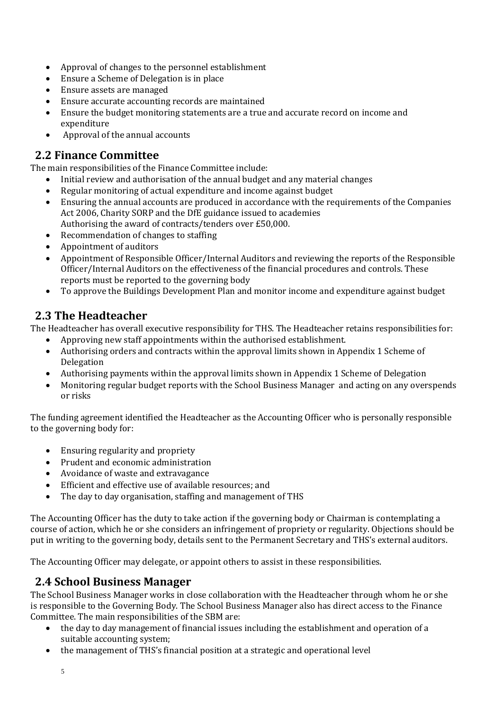- Approval of changes to the personnel establishment
- Ensure a Scheme of Delegation is in place
- Ensure assets are managed
- Ensure accurate accounting records are maintained
- Ensure the budget monitoring statements are a true and accurate record on income and expenditure
- Approval of the annual accounts

## <span id="page-4-0"></span>**2.2 Finance Committee**

The main responsibilities of the Finance Committee include:

- Initial review and authorisation of the annual budget and any material changes
- Regular monitoring of actual expenditure and income against budget
- Ensuring the annual accounts are produced in accordance with the requirements of the Companies Act 2006, Charity SORP and the DfE guidance issued to academies Authorising the award of contracts/tenders over £50,000.
- Recommendation of changes to staffing
- Appointment of auditors
- Appointment of Responsible Officer/Internal Auditors and reviewing the reports of the Responsible Officer/Internal Auditors on the effectiveness of the financial procedures and controls. These reports must be reported to the governing body
- To approve the Buildings Development Plan and monitor income and expenditure against budget

## <span id="page-4-1"></span>**2.3 The Headteacher**

The Headteacher has overall executive responsibility for THS. The Headteacher retains responsibilities for:

- Approving new staff appointments within the authorised establishment.
- Authorising orders and contracts within the approval limits shown in Appendix 1 Scheme of Delegation
- Authorising payments within the approval limits shown in Appendix 1 Scheme of Delegation
- Monitoring regular budget reports with the School Business Manager and acting on any overspends or risks

The funding agreement identified the Headteacher as the Accounting Officer who is personally responsible to the governing body for:

- Ensuring regularity and propriety
- Prudent and economic administration
- Avoidance of waste and extravagance
- Efficient and effective use of available resources; and
- The day to day organisation, staffing and management of THS

The Accounting Officer has the duty to take action if the governing body or Chairman is contemplating a course of action, which he or she considers an infringement of propriety or regularity. Objections should be put in writing to the governing body, details sent to the Permanent Secretary and THS's external auditors.

The Accounting Officer may delegate, or appoint others to assist in these responsibilities.

## <span id="page-4-2"></span>**2.4 School Business Manager**

The School Business Manager works in close collaboration with the Headteacher through whom he or she is responsible to the Governing Body. The School Business Manager also has direct access to the Finance Committee. The main responsibilities of the SBM are:

- the day to day management of financial issues including the establishment and operation of a suitable accounting system;
- the management of THS's financial position at a strategic and operational level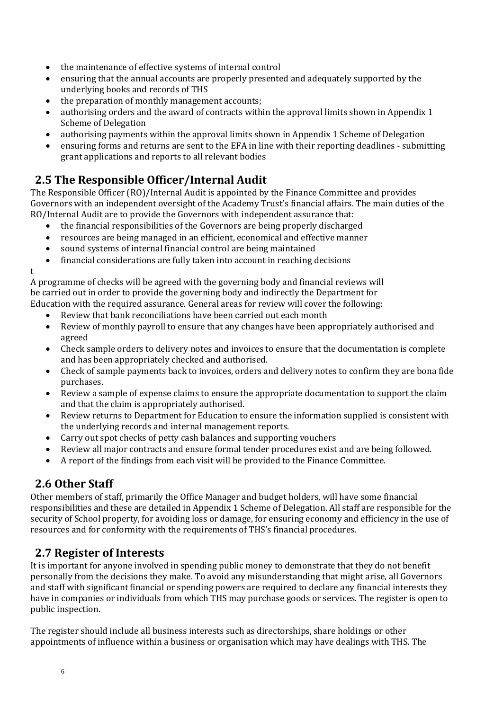- the maintenance of effective systems of internal control
- ensuring that the annual accounts are properly presented and adequately supported by the underlying books and records of THS
- the preparation of monthly management accounts;
- authorising orders and the award of contracts within the approval limits shown in Appendix 1 Scheme of Delegation
- authorising payments within the approval limits shown in Appendix 1 Scheme of Delegation
- ensuring forms and returns are sent to the EFA in line with their reporting deadlines submitting grant applications and reports to all relevant bodies

## <span id="page-5-0"></span>**2.5 The Responsible Officer/Internal Audit**

The Responsible Officer (RO)/Internal Audit is appointed by the Finance Committee and provides Governors with an independent oversight of the Academy Trust's financial affairs. The main duties of the RO/Internal Audit are to provide the Governors with independent assurance that:

- the financial responsibilities of the Governors are being properly discharged
- resources are being managed in an efficient, economical and effective manner
- sound systems of internal financial control are being maintained
- financial considerations are fully taken into account in reaching decisions

t

A programme of checks will be agreed with the governing body and financial reviews will be carried out in order to provide the governing body and indirectly the Department for Education with the required assurance. General areas for review will cover the following:

- Review that bank reconciliations have been carried out each month
- Review of monthly payroll to ensure that any changes have been appropriately authorised and agreed
- Check sample orders to delivery notes and invoices to ensure that the documentation is complete and has been appropriately checked and authorised.
- Check of sample payments back to invoices, orders and delivery notes to confirm they are bona fide purchases.
- Review a sample of expense claims to ensure the appropriate documentation to support the claim and that the claim is appropriately authorised.
- Review returns to Department for Education to ensure the information supplied is consistent with the underlying records and internal management reports.
- Carry out spot checks of petty cash balances and supporting vouchers
- Review all major contracts and ensure formal tender procedures exist and are being followed.
- A report of the findings from each visit will be provided to the Finance Committee.

## <span id="page-5-1"></span>**2.6 Other Staff**

Other members of staff, primarily the Office Manager and budget holders, will have some financial responsibilities and these are detailed in Appendix 1 Scheme of Delegation. All staff are responsible for the security of School property, for avoiding loss or damage, for ensuring economy and efficiency in the use of resources and for conformity with the requirements of THS's financial procedures.

## <span id="page-5-2"></span>**2.7 Register of Interests**

It is important for anyone involved in spending public money to demonstrate that they do not benefit personally from the decisions they make. To avoid any misunderstanding that might arise, all Governors and staff with significant financial or spending powers are required to declare any financial interests they have in companies or individuals from which THS may purchase goods or services. The register is open to public inspection.

The register should include all business interests such as directorships, share holdings or other appointments of influence within a business or organisation which may have dealings with THS. The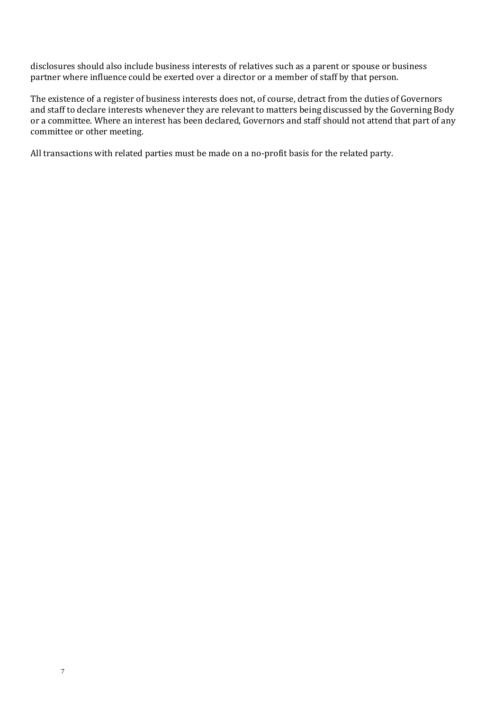disclosures should also include business interests of relatives such as a parent or spouse or business partner where influence could be exerted over a director or a member of staff by that person.

The existence of a register of business interests does not, of course, detract from the duties of Governors and staff to declare interests whenever they are relevant to matters being discussed by the Governing Body or a committee. Where an interest has been declared, Governors and staff should not attend that part of any committee or other meeting.

All transactions with related parties must be made on a no-profit basis for the related party.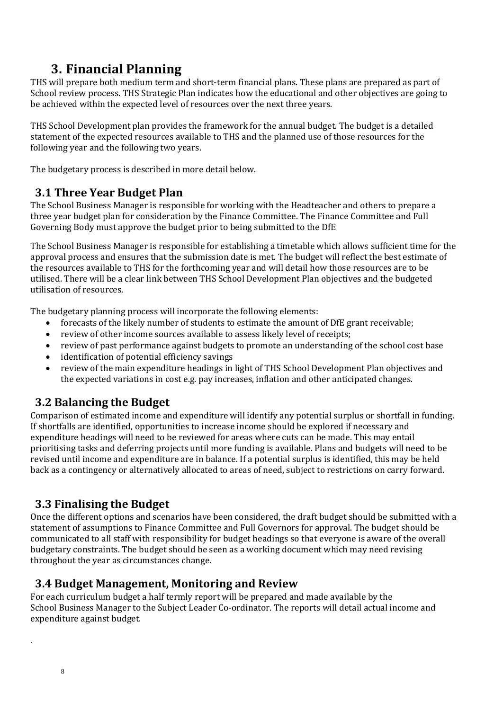# **3. Financial Planning**

<span id="page-7-0"></span>THS will prepare both medium term and short-term financial plans. These plans are prepared as part of School review process. THS Strategic Plan indicates how the educational and other objectives are going to be achieved within the expected level of resources over the next three years.

THS School Development plan provides the framework for the annual budget. The budget is a detailed statement of the expected resources available to THS and the planned use of those resources for the following year and the following two years.

The budgetary process is described in more detail below.

## <span id="page-7-1"></span>**3.1 Three Year Budget Plan**

The School Business Manager is responsible for working with the Headteacher and others to prepare a three year budget plan for consideration by the Finance Committee. The Finance Committee and Full Governing Body must approve the budget prior to being submitted to the DfE

The School Business Manager is responsible for establishing a timetable which allows sufficient time for the approval process and ensures that the submission date is met. The budget will reflect the best estimate of the resources available to THS for the forthcoming year and will detail how those resources are to be utilised. There will be a clear link between THS School Development Plan objectives and the budgeted utilisation of resources.

The budgetary planning process will incorporate the following elements:

- forecasts of the likely number of students to estimate the amount of DfE grant receivable;
- review of other income sources available to assess likely level of receipts;
- review of past performance against budgets to promote an understanding of the school cost base
- identification of potential efficiency savings
- review of the main expenditure headings in light of THS School Development Plan objectives and the expected variations in cost e.g. pay increases, inflation and other anticipated changes.

## <span id="page-7-2"></span>**3.2 Balancing the Budget**

Comparison of estimated income and expenditure will identify any potential surplus or shortfall in funding. If shortfalls are identified, opportunities to increase income should be explored if necessary and expenditure headings will need to be reviewed for areas where cuts can be made. This may entail prioritising tasks and deferring projects until more funding is available. Plans and budgets will need to be revised until income and expenditure are in balance. If a potential surplus is identified, this may be held back as a contingency or alternatively allocated to areas of need, subject to restrictions on carry forward.

## <span id="page-7-3"></span>**3.3 Finalising the Budget**

Once the different options and scenarios have been considered, the draft budget should be submitted with a statement of assumptions to Finance Committee and Full Governors for approval. The budget should be communicated to all staff with responsibility for budget headings so that everyone is aware of the overall budgetary constraints. The budget should be seen as a working document which may need revising throughout the year as circumstances change.

## <span id="page-7-4"></span>**3.4 Budget Management, Monitoring and Review**

For each curriculum budget a half termly report will be prepared and made available by the School Business Manager to the Subject Leader Co-ordinator. The reports will detail actual income and expenditure against budget.

.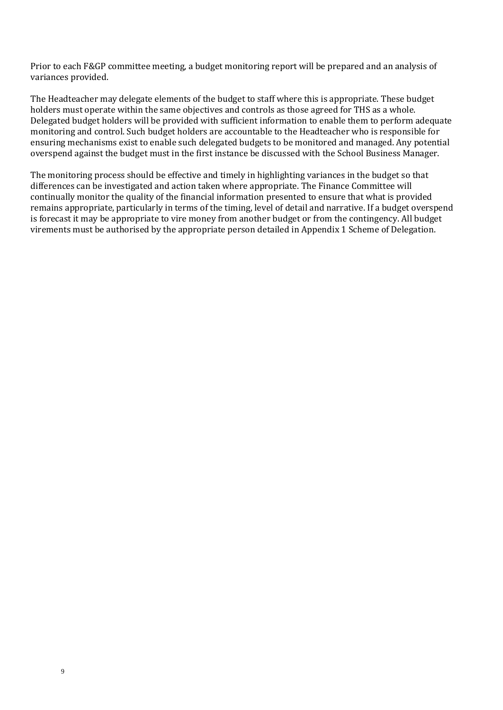Prior to each F&GP committee meeting, a budget monitoring report will be prepared and an analysis of variances provided.

The Headteacher may delegate elements of the budget to staff where this is appropriate. These budget holders must operate within the same objectives and controls as those agreed for THS as a whole. Delegated budget holders will be provided with sufficient information to enable them to perform adequate monitoring and control. Such budget holders are accountable to the Headteacher who is responsible for ensuring mechanisms exist to enable such delegated budgets to be monitored and managed. Any potential overspend against the budget must in the first instance be discussed with the School Business Manager.

The monitoring process should be effective and timely in highlighting variances in the budget so that differences can be investigated and action taken where appropriate. The Finance Committee will continually monitor the quality of the financial information presented to ensure that what is provided remains appropriate, particularly in terms of the timing, level of detail and narrative. If a budget overspend is forecast it may be appropriate to vire money from another budget or from the contingency. All budget virements must be authorised by the appropriate person detailed in Appendix 1 Scheme of Delegation.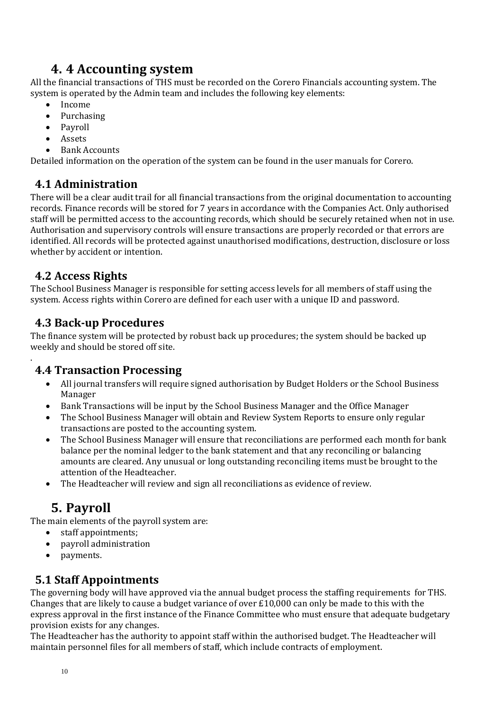# **4. 4 Accounting system**

<span id="page-9-0"></span>All the financial transactions of THS must be recorded on the Corero Financials accounting system. The system is operated by the Admin team and includes the following key elements:

- Income
- Purchasing
- Payroll
- Assets
- Bank Accounts

Detailed information on the operation of the system can be found in the user manuals for Corero.

## <span id="page-9-1"></span>**4.1 Administration**

There will be a clear audit trail for all financial transactions from the original documentation to accounting records. Finance records will be stored for 7 years in accordance with the Companies Act. Only authorised staff will be permitted access to the accounting records, which should be securely retained when not in use. Authorisation and supervisory controls will ensure transactions are properly recorded or that errors are identified. All records will be protected against unauthorised modifications, destruction, disclosure or loss whether by accident or intention.

## <span id="page-9-2"></span>**4.2 Access Rights**

.

The School Business Manager is responsible for setting access levels for all members of staff using the system. Access rights within Corero are defined for each user with a unique ID and password.

## <span id="page-9-3"></span>**4.3 Back-up Procedures**

The finance system will be protected by robust back up procedures; the system should be backed up weekly and should be stored off site.

## <span id="page-9-4"></span>**4.4 Transaction Processing**

- All journal transfers will require signed authorisation by Budget Holders or the School Business Manager
- Bank Transactions will be input by the School Business Manager and the Office Manager
- The School Business Manager will obtain and Review System Reports to ensure only regular transactions are posted to the accounting system.
- The School Business Manager will ensure that reconciliations are performed each month for bank balance per the nominal ledger to the bank statement and that any reconciling or balancing amounts are cleared. Any unusual or long outstanding reconciling items must be brought to the attention of the Headteacher.
- The Headteacher will review and sign all reconciliations as evidence of review.

# **5. Payroll**

<span id="page-9-5"></span>The main elements of the payroll system are:

- staff appointments;
- payroll administration
- payments.

## <span id="page-9-6"></span>**5.1 Staff Appointments**

The governing body will have approved via the annual budget process the staffing requirements for THS. Changes that are likely to cause a budget variance of over £10,000 can only be made to this with the express approval in the first instance of the Finance Committee who must ensure that adequate budgetary provision exists for any changes.

The Headteacher has the authority to appoint staff within the authorised budget. The Headteacher will maintain personnel files for all members of staff, which include contracts of employment.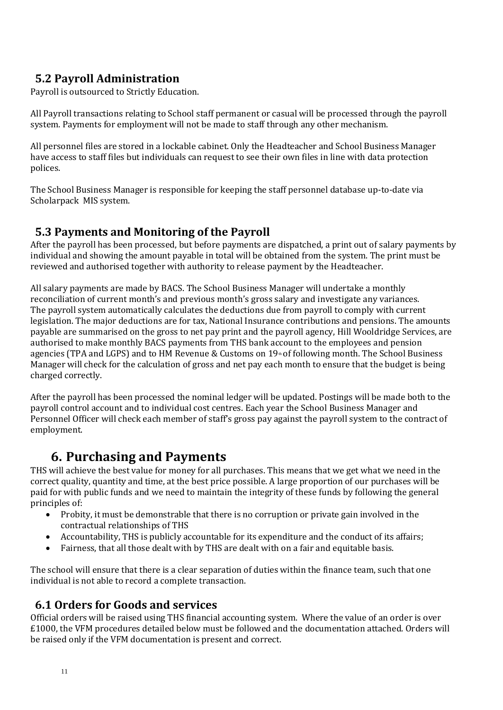## <span id="page-10-0"></span>**5.2 Payroll Administration**

Payroll is outsourced to Strictly Education.

All Payroll transactions relating to School staff permanent or casual will be processed through the payroll system. Payments for employment will not be made to staff through any other mechanism.

All personnel files are stored in a lockable cabinet. Only the Headteacher and School Business Manager have access to staff files but individuals can request to see their own files in line with data protection polices.

The School Business Manager is responsible for keeping the staff personnel database up-to-date via Scholarpack MIS system.

## <span id="page-10-1"></span>**5.3 Payments and Monitoring of the Payroll**

After the payroll has been processed, but before payments are dispatched, a print out of salary payments by individual and showing the amount payable in total will be obtained from the system. The print must be reviewed and authorised together with authority to release payment by the Headteacher.

All salary payments are made by BACS. The School Business Manager will undertake a monthly reconciliation of current month's and previous month's gross salary and investigate any variances. The payroll system automatically calculates the deductions due from payroll to comply with current legislation. The major deductions are for tax, National Insurance contributions and pensions. The amounts payable are summarised on the gross to net pay print and the payroll agency, Hill Wooldridge Services, are authorised to make monthly BACS payments from THS bank account to the employees and pension agencies (TPA and LGPS) and to HM Revenue & Customs on 19<sup>th</sup> of following month. The School Business Manager will check for the calculation of gross and net pay each month to ensure that the budget is being charged correctly.

After the payroll has been processed the nominal ledger will be updated. Postings will be made both to the payroll control account and to individual cost centres. Each year the School Business Manager and Personnel Officer will check each member of staff's gross pay against the payroll system to the contract of employment.

# **6. Purchasing and Payments**

<span id="page-10-2"></span>THS will achieve the best value for money for all purchases. This means that we get what we need in the correct quality, quantity and time, at the best price possible. A large proportion of our purchases will be paid for with public funds and we need to maintain the integrity of these funds by following the general principles of:

- Probity, it must be demonstrable that there is no corruption or private gain involved in the contractual relationships of THS
- Accountability, THS is publicly accountable for its expenditure and the conduct of its affairs;
- Fairness, that all those dealt with by THS are dealt with on a fair and equitable basis.

The school will ensure that there is a clear separation of duties within the finance team, such that one individual is not able to record a complete transaction.

## <span id="page-10-3"></span>**6.1 Orders for Goods and services**

Official orders will be raised using THS financial accounting system. Where the value of an order is over £1000, the VFM procedures detailed below must be followed and the documentation attached. Orders will be raised only if the VFM documentation is present and correct.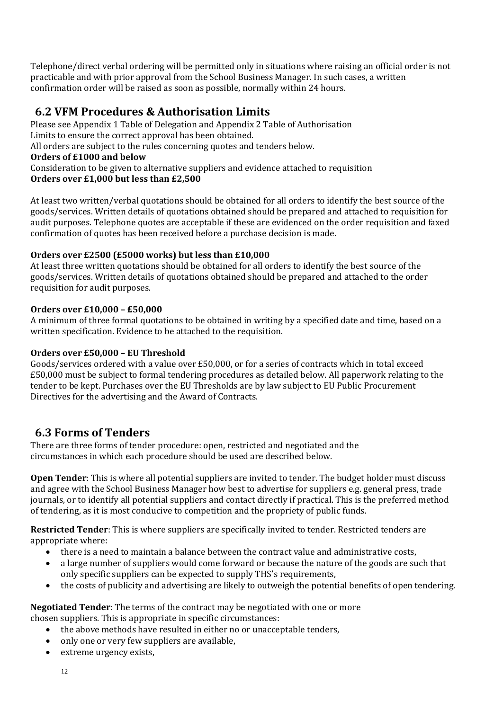Telephone/direct verbal ordering will be permitted only in situations where raising an official order is not practicable and with prior approval from the School Business Manager. In such cases, a written confirmation order will be raised as soon as possible, normally within 24 hours.

## <span id="page-11-0"></span>**6.2 VFM Procedures & Authorisation Limits**

Please see Appendix 1 Table of Delegation and Appendix 2 Table of Authorisation Limits to ensure the correct approval has been obtained. All orders are subject to the rules concerning quotes and tenders below. **Orders of £1000 and below** Consideration to be given to alternative suppliers and evidence attached to requisition **Orders over £1,000 but less than £2,500**

At least two written/verbal quotations should be obtained for all orders to identify the best source of the goods/services. Written details of quotations obtained should be prepared and attached to requisition for audit purposes. Telephone quotes are acceptable if these are evidenced on the order requisition and faxed confirmation of quotes has been received before a purchase decision is made.

#### **Orders over £2500 (£5000 works) but less than £10,000**

At least three written quotations should be obtained for all orders to identify the best source of the goods/services. Written details of quotations obtained should be prepared and attached to the order requisition for audit purposes.

#### **Orders over £10,000 – £50,000**

A minimum of three formal quotations to be obtained in writing by a specified date and time, based on a written specification. Evidence to be attached to the requisition.

#### **Orders over £50,000 – EU Threshold**

Goods/services ordered with a value over £50,000, or for a series of contracts which in total exceed £50,000 must be subject to formal tendering procedures as detailed below. All paperwork relating to the tender to be kept. Purchases over the EU Thresholds are by law subject to EU Public Procurement Directives for the advertising and the Award of Contracts.

## <span id="page-11-1"></span>**6.3 Forms of Tenders**

There are three forms of tender procedure: open, restricted and negotiated and the circumstances in which each procedure should be used are described below.

**Open Tender**: This is where all potential suppliers are invited to tender. The budget holder must discuss and agree with the School Business Manager how best to advertise for suppliers e.g. general press, trade journals, or to identify all potential suppliers and contact directly if practical. This is the preferred method of tendering, as it is most conducive to competition and the propriety of public funds.

**Restricted Tender**: This is where suppliers are specifically invited to tender. Restricted tenders are appropriate where:

- there is a need to maintain a balance between the contract value and administrative costs,
- a large number of suppliers would come forward or because the nature of the goods are such that only specific suppliers can be expected to supply THS's requirements,
- the costs of publicity and advertising are likely to outweigh the potential benefits of open tendering.

**Negotiated Tender**: The terms of the contract may be negotiated with one or more chosen suppliers. This is appropriate in specific circumstances:

- the above methods have resulted in either no or unacceptable tenders,
- only one or very few suppliers are available,
- extreme urgency exists,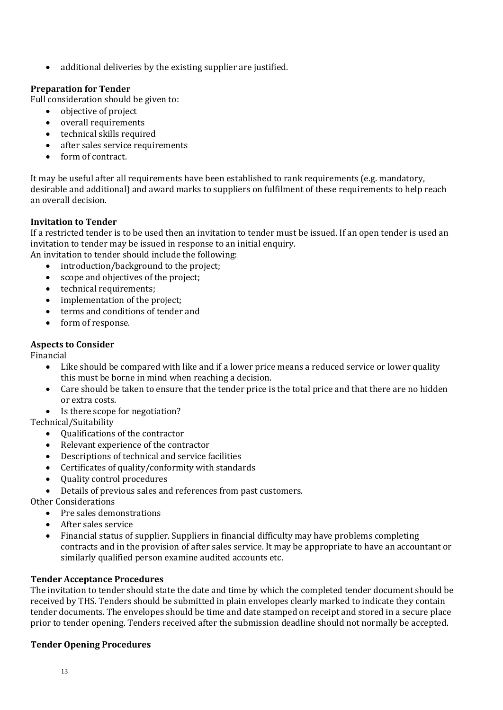• additional deliveries by the existing supplier are justified.

#### **Preparation for Tender**

Full consideration should be given to:

- objective of project
- overall requirements
- technical skills required
- after sales service requirements
- form of contract.

It may be useful after all requirements have been established to rank requirements (e.g. mandatory, desirable and additional) and award marks to suppliers on fulfilment of these requirements to help reach an overall decision.

#### **Invitation to Tender**

If a restricted tender is to be used then an invitation to tender must be issued. If an open tender is used an invitation to tender may be issued in response to an initial enquiry.

An invitation to tender should include the following:

- introduction/background to the project:
- scope and objectives of the project;
- technical requirements:
- implementation of the project;
- terms and conditions of tender and
- form of response.

#### **Aspects to Consider**

Financial

- Like should be compared with like and if a lower price means a reduced service or lower quality this must be borne in mind when reaching a decision.
- Care should be taken to ensure that the tender price is the total price and that there are no hidden or extra costs.
- Is there scope for negotiation?

Technical/Suitability

- Qualifications of the contractor
- Relevant experience of the contractor
- Descriptions of technical and service facilities
- Certificates of quality/conformity with standards
- Quality control procedures
- Details of previous sales and references from past customers.

Other Considerations

- Pre sales demonstrations
- After sales service
- Financial status of supplier. Suppliers in financial difficulty may have problems completing contracts and in the provision of after sales service. It may be appropriate to have an accountant or similarly qualified person examine audited accounts etc.

#### **Tender Acceptance Procedures**

The invitation to tender should state the date and time by which the completed tender document should be received by THS. Tenders should be submitted in plain envelopes clearly marked to indicate they contain tender documents. The envelopes should be time and date stamped on receipt and stored in a secure place prior to tender opening. Tenders received after the submission deadline should not normally be accepted.

#### **Tender Opening Procedures**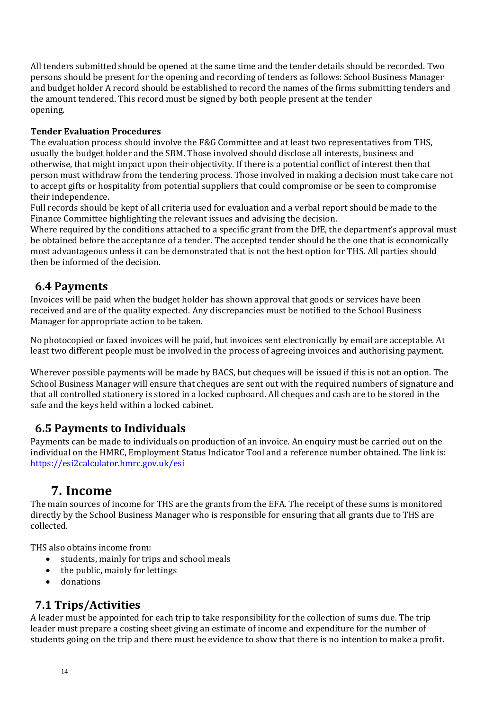All tenders submitted should be opened at the same time and the tender details should be recorded. Two persons should be present for the opening and recording of tenders as follows: School Business Manager and budget holder A record should be established to record the names of the firms submitting tenders and the amount tendered. This record must be signed by both people present at the tender opening.

#### **Tender Evaluation Procedures**

The evaluation process should involve the F&G Committee and at least two representatives from THS, usually the budget holder and the SBM. Those involved should disclose all interests, business and otherwise, that might impact upon their objectivity. If there is a potential conflict of interest then that person must withdraw from the tendering process. Those involved in making a decision must take care not to accept gifts or hospitality from potential suppliers that could compromise or be seen to compromise their independence.

Full records should be kept of all criteria used for evaluation and a verbal report should be made to the Finance Committee highlighting the relevant issues and advising the decision.

Where required by the conditions attached to a specific grant from the DfE, the department's approval must be obtained before the acceptance of a tender. The accepted tender should be the one that is economically most advantageous unless it can be demonstrated that is not the best option for THS. All parties should then be informed of the decision.

### <span id="page-13-0"></span>**6.4 Payments**

Invoices will be paid when the budget holder has shown approval that goods or services have been received and are of the quality expected. Any discrepancies must be notified to the School Business Manager for appropriate action to be taken.

No photocopied or faxed invoices will be paid, but invoices sent electronically by email are acceptable. At least two different people must be involved in the process of agreeing invoices and authorising payment.

Wherever possible payments will be made by BACS, but cheques will be issued if this is not an option. The School Business Manager will ensure that cheques are sent out with the required numbers of signature and that all controlled stationery is stored in a locked cupboard. All cheques and cash are to be stored in the safe and the keys held within a locked cabinet.

## <span id="page-13-1"></span>**6.5 Payments to Individuals**

Payments can be made to individuals on production of an invoice. An enquiry must be carried out on the individual on the HMRC, Employment Status Indicator Tool and a reference number obtained. The link is: https://esi2calculator.hmrc.gov.uk/esi

## **7. Income**

<span id="page-13-2"></span>The main sources of income for THS are the grants from the EFA. The receipt of these sums is monitored directly by the School Business Manager who is responsible for ensuring that all grants due to THS are collected.

THS also obtains income from:

- students, mainly for trips and school meals
- $\bullet$  the public, mainly for lettings
- donations

## <span id="page-13-3"></span>**7.1 Trips/Activities**

A leader must be appointed for each trip to take responsibility for the collection of sums due. The trip leader must prepare a costing sheet giving an estimate of income and expenditure for the number of students going on the trip and there must be evidence to show that there is no intention to make a profit.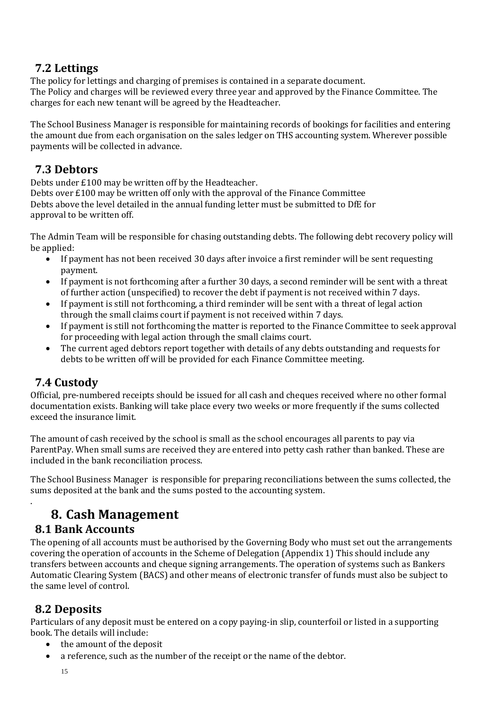## <span id="page-14-0"></span>**7.2 Lettings**

The policy for lettings and charging of premises is contained in a separate document. The Policy and charges will be reviewed every three year and approved by the Finance Committee. The charges for each new tenant will be agreed by the Headteacher.

The School Business Manager is responsible for maintaining records of bookings for facilities and entering the amount due from each organisation on the sales ledger on THS accounting system. Wherever possible payments will be collected in advance.

## <span id="page-14-1"></span>**7.3 Debtors**

Debts under £100 may be written off by the Headteacher. Debts over £100 may be written off only with the approval of the Finance Committee Debts above the level detailed in the annual funding letter must be submitted to DfE for approval to be written off.

The Admin Team will be responsible for chasing outstanding debts. The following debt recovery policy will be applied:

- If payment has not been received 30 days after invoice a first reminder will be sent requesting payment.
- If payment is not forthcoming after a further 30 days, a second reminder will be sent with a threat of further action (unspecified) to recover the debt if payment is not received within 7 days.
- If payment is still not forthcoming, a third reminder will be sent with a threat of legal action through the small claims court if payment is not received within 7 days.
- If payment is still not forthcoming the matter is reported to the Finance Committee to seek approval for proceeding with legal action through the small claims court.
- The current aged debtors report together with details of any debts outstanding and requests for debts to be written off will be provided for each Finance Committee meeting.

## <span id="page-14-2"></span>**7.4 Custody**

<span id="page-14-3"></span>.

Official, pre-numbered receipts should be issued for all cash and cheques received where no other formal documentation exists. Banking will take place every two weeks or more frequently if the sums collected exceed the insurance limit.

The amount of cash received by the school is small as the school encourages all parents to pay via ParentPay. When small sums are received they are entered into petty cash rather than banked. These are included in the bank reconciliation process.

The School Business Manager is responsible for preparing reconciliations between the sums collected, the sums deposited at the bank and the sums posted to the accounting system.

# **8. Cash Management**

## <span id="page-14-4"></span>**8.1 Bank Accounts**

The opening of all accounts must be authorised by the Governing Body who must set out the arrangements covering the operation of accounts in the Scheme of Delegation (Appendix 1) This should include any transfers between accounts and cheque signing arrangements. The operation of systems such as Bankers Automatic Clearing System (BACS) and other means of electronic transfer of funds must also be subject to the same level of control.

## <span id="page-14-5"></span>**8.2 Deposits**

Particulars of any deposit must be entered on a copy paying-in slip, counterfoil or listed in a supporting book. The details will include:

- the amount of the deposit
- a reference, such as the number of the receipt or the name of the debtor.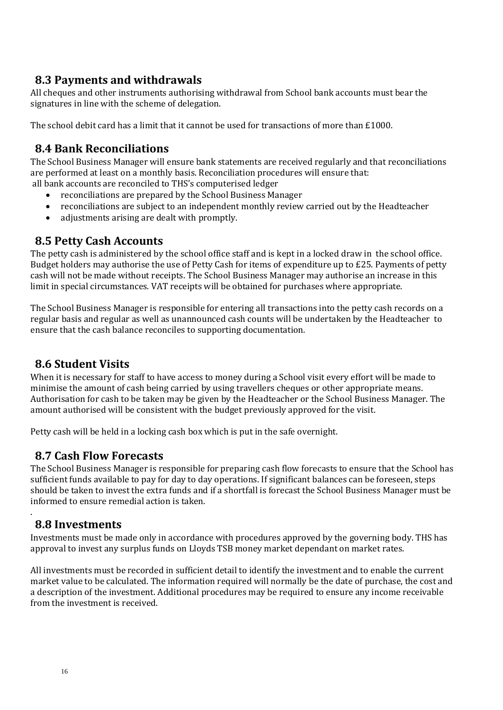## <span id="page-15-0"></span>**8.3 Payments and withdrawals**

All cheques and other instruments authorising withdrawal from School bank accounts must bear the signatures in line with the scheme of delegation.

The school debit card has a limit that it cannot be used for transactions of more than £1000.

## <span id="page-15-1"></span>**8.4 Bank Reconciliations**

The School Business Manager will ensure bank statements are received regularly and that reconciliations are performed at least on a monthly basis. Reconciliation procedures will ensure that: all bank accounts are reconciled to THS's computerised ledger

- reconciliations are prepared by the School Business Manager
- reconciliations are subject to an independent monthly review carried out by the Headteacher
- adjustments arising are dealt with promptly.

## <span id="page-15-2"></span>**8.5 Petty Cash Accounts**

The petty cash is administered by the school office staff and is kept in a locked draw in the school office. Budget holders may authorise the use of Petty Cash for items of expenditure up to £25. Payments of petty cash will not be made without receipts. The School Business Manager may authorise an increase in this limit in special circumstances. VAT receipts will be obtained for purchases where appropriate.

The School Business Manager is responsible for entering all transactions into the petty cash records on a regular basis and regular as well as unannounced cash counts will be undertaken by the Headteacher to ensure that the cash balance reconciles to supporting documentation.

## <span id="page-15-3"></span>**8.6 Student Visits**

When it is necessary for staff to have access to money during a School visit every effort will be made to minimise the amount of cash being carried by using travellers cheques or other appropriate means. Authorisation for cash to be taken may be given by the Headteacher or the School Business Manager. The amount authorised will be consistent with the budget previously approved for the visit.

Petty cash will be held in a locking cash box which is put in the safe overnight.

### <span id="page-15-4"></span>**8.7 Cash Flow Forecasts**

The School Business Manager is responsible for preparing cash flow forecasts to ensure that the School has sufficient funds available to pay for day to day operations. If significant balances can be foreseen, steps should be taken to invest the extra funds and if a shortfall is forecast the School Business Manager must be informed to ensure remedial action is taken.

## <span id="page-15-5"></span>**8.8 Investments**

.

Investments must be made only in accordance with procedures approved by the governing body. THS has approval to invest any surplus funds on Lloyds TSB money market dependant on market rates.

All investments must be recorded in sufficient detail to identify the investment and to enable the current market value to be calculated. The information required will normally be the date of purchase, the cost and a description of the investment. Additional procedures may be required to ensure any income receivable from the investment is received.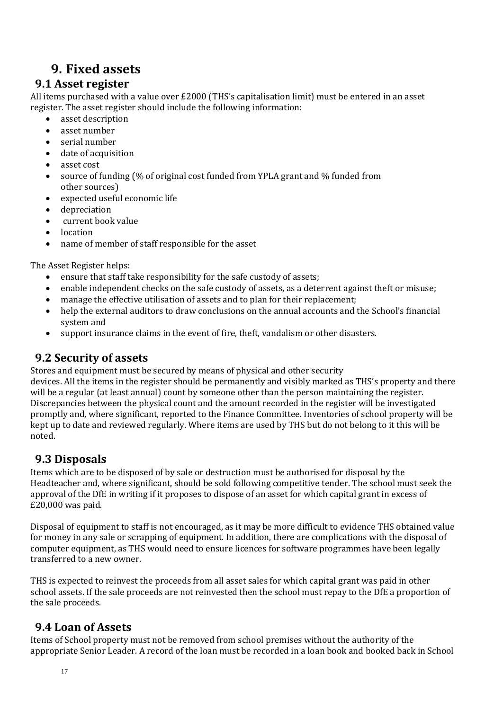## **9. Fixed assets**

## <span id="page-16-1"></span><span id="page-16-0"></span>**9.1 Asset register**

All items purchased with a value over £2000 (THS's capitalisation limit) must be entered in an asset register. The asset register should include the following information:

- asset description
- asset number
- serial number
- date of acquisition
- asset cost
- source of funding (% of original cost funded from YPLA grant and % funded from other sources)
- expected useful economic life
- **•** depreciation
- current book value
- location
- name of member of staff responsible for the asset

The Asset Register helps:

- ensure that staff take responsibility for the safe custody of assets;
- enable independent checks on the safe custody of assets, as a deterrent against theft or misuse;
- manage the effective utilisation of assets and to plan for their replacement;
- help the external auditors to draw conclusions on the annual accounts and the School's financial system and
- support insurance claims in the event of fire, theft, vandalism or other disasters.

## <span id="page-16-2"></span>**9.2 Security of assets**

Stores and equipment must be secured by means of physical and other security

devices. All the items in the register should be permanently and visibly marked as THS's property and there will be a regular (at least annual) count by someone other than the person maintaining the register. Discrepancies between the physical count and the amount recorded in the register will be investigated promptly and, where significant, reported to the Finance Committee. Inventories of school property will be kept up to date and reviewed regularly. Where items are used by THS but do not belong to it this will be noted.

## <span id="page-16-3"></span>**9.3 Disposals**

Items which are to be disposed of by sale or destruction must be authorised for disposal by the Headteacher and, where significant, should be sold following competitive tender. The school must seek the approval of the DfE in writing if it proposes to dispose of an asset for which capital grant in excess of £20,000 was paid.

Disposal of equipment to staff is not encouraged, as it may be more difficult to evidence THS obtained value for money in any sale or scrapping of equipment. In addition, there are complications with the disposal of computer equipment, as THS would need to ensure licences for software programmes have been legally transferred to a new owner.

THS is expected to reinvest the proceeds from all asset sales for which capital grant was paid in other school assets. If the sale proceeds are not reinvested then the school must repay to the DfE a proportion of the sale proceeds.

## <span id="page-16-4"></span>**9.4 Loan of Assets**

Items of School property must not be removed from school premises without the authority of the appropriate Senior Leader. A record of the loan must be recorded in a loan book and booked back in School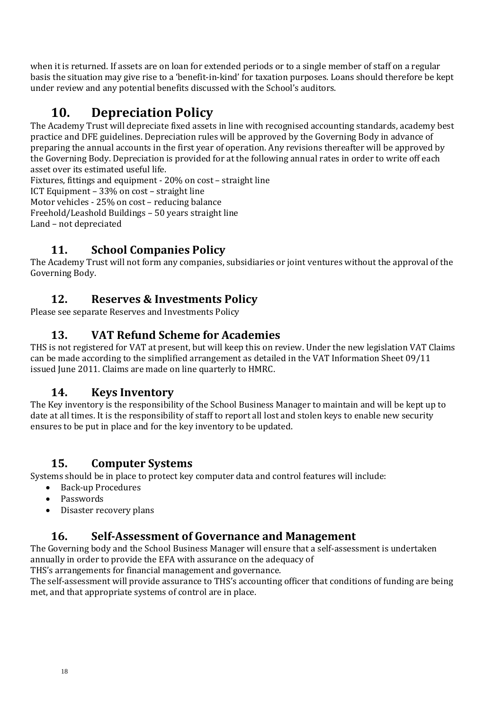when it is returned. If assets are on loan for extended periods or to a single member of staff on a regular basis the situation may give rise to a 'benefit-in-kind' for taxation purposes. Loans should therefore be kept under review and any potential benefits discussed with the School's auditors.

# **10. Depreciation Policy**

<span id="page-17-0"></span>The Academy Trust will depreciate fixed assets in line with recognised accounting standards, academy best practice and DFE guidelines. Depreciation rules will be approved by the Governing Body in advance of preparing the annual accounts in the first year of operation. Any revisions thereafter will be approved by the Governing Body. Depreciation is provided for at the following annual rates in order to write off each asset over its estimated useful life.

Fixtures, fittings and equipment - 20% on cost – straight line

ICT Equipment – 33% on cost – straight line

Motor vehicles - 25% on cost – reducing balance

Freehold/Leashold Buildings – 50 years straight line

Land – not depreciated

## **11. School Companies Policy**

The Academy Trust will not form any companies, subsidiaries or joint ventures without the approval of the Governing Body.

## **12. Reserves & Investments Policy**

Please see separate Reserves and Investments Policy

## **13. VAT Refund Scheme for Academies**

THS is not registered for VAT at present, but will keep this on review. Under the new legislation VAT Claims can be made according to the simplified arrangement as detailed in the VAT Information Sheet 09/11 issued June 2011. Claims are made on line quarterly to HMRC.

## **14. Keys Inventory**

The Key inventory is the responsibility of the School Business Manager to maintain and will be kept up to date at all times. It is the responsibility of staff to report all lost and stolen keys to enable new security ensures to be put in place and for the key inventory to be updated.

## **15. Computer Systems**

Systems should be in place to protect key computer data and control features will include:

- Back-up Procedures
- Passwords
- Disaster recovery plans

## **16. Self-Assessment of Governance and Management**

The Governing body and the School Business Manager will ensure that a self-assessment is undertaken annually in order to provide the EFA with assurance on the adequacy of THS's arrangements for financial management and governance.

The self-assessment will provide assurance to THS's accounting officer that conditions of funding are being met, and that appropriate systems of control are in place.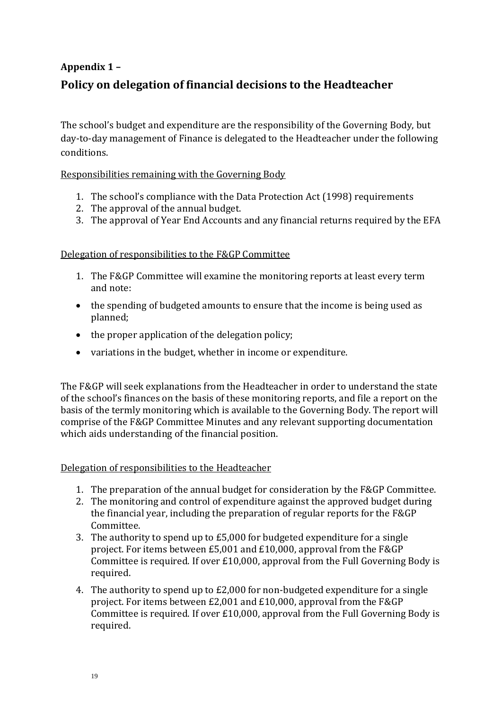# <span id="page-18-1"></span><span id="page-18-0"></span>**Appendix 1 – Policy on delegation of financial decisions to the Headteacher**

The school's budget and expenditure are the responsibility of the Governing Body, but day-to-day management of Finance is delegated to the Headteacher under the following conditions.

#### Responsibilities remaining with the Governing Body

- 1. The school's compliance with the Data Protection Act (1998) requirements
- 2. The approval of the annual budget.
- 3. The approval of Year End Accounts and any financial returns required by the EFA

#### Delegation of responsibilities to the F&GP Committee

- 1. The F&GP Committee will examine the monitoring reports at least every term and note:
- the spending of budgeted amounts to ensure that the income is being used as planned;
- the proper application of the delegation policy;
- variations in the budget, whether in income or expenditure.

The F&GP will seek explanations from the Headteacher in order to understand the state of the school's finances on the basis of these monitoring reports, and file a report on the basis of the termly monitoring which is available to the Governing Body. The report will comprise of the F&GP Committee Minutes and any relevant supporting documentation which aids understanding of the financial position.

#### Delegation of responsibilities to the Headteacher

- 1. The preparation of the annual budget for consideration by the F&GP Committee.
- 2. The monitoring and control of expenditure against the approved budget during the financial year, including the preparation of regular reports for the F&GP Committee.
- 3. The authority to spend up to £5,000 for budgeted expenditure for a single project. For items between £5,001 and £10,000, approval from the F&GP Committee is required. If over £10,000, approval from the Full Governing Body is required.
- 4. The authority to spend up to £2,000 for non-budgeted expenditure for a single project. For items between £2,001 and £10,000, approval from the F&GP Committee is required. If over £10,000, approval from the Full Governing Body is required.